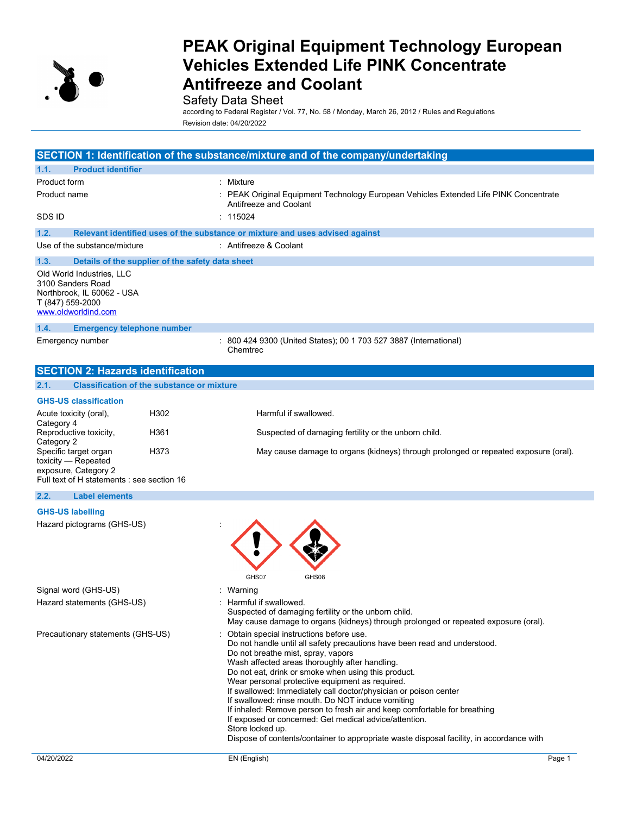

# Safety Data Sheet

according to Federal Register / Vol. 77, No. 58 / Monday, March 26, 2012 / Rules and Regulations Revision date: 04/20/2022

|                                                                                                                         |                                                   | SECTION 1: Identification of the substance/mixture and of the company/undertaking                                                                                                                                                                                                                                                                                                                                                                                                                                                                                                                                                                                                                      |
|-------------------------------------------------------------------------------------------------------------------------|---------------------------------------------------|--------------------------------------------------------------------------------------------------------------------------------------------------------------------------------------------------------------------------------------------------------------------------------------------------------------------------------------------------------------------------------------------------------------------------------------------------------------------------------------------------------------------------------------------------------------------------------------------------------------------------------------------------------------------------------------------------------|
| 1.1.<br><b>Product identifier</b>                                                                                       |                                                   |                                                                                                                                                                                                                                                                                                                                                                                                                                                                                                                                                                                                                                                                                                        |
| Product form                                                                                                            |                                                   | : Mixture                                                                                                                                                                                                                                                                                                                                                                                                                                                                                                                                                                                                                                                                                              |
| Product name                                                                                                            |                                                   | : PEAK Original Equipment Technology European Vehicles Extended Life PINK Concentrate<br>Antifreeze and Coolant                                                                                                                                                                                                                                                                                                                                                                                                                                                                                                                                                                                        |
| SDS ID                                                                                                                  |                                                   | : 115024                                                                                                                                                                                                                                                                                                                                                                                                                                                                                                                                                                                                                                                                                               |
| 1.2.                                                                                                                    |                                                   | Relevant identified uses of the substance or mixture and uses advised against                                                                                                                                                                                                                                                                                                                                                                                                                                                                                                                                                                                                                          |
| Use of the substance/mixture                                                                                            |                                                   | : Antifreeze & Coolant                                                                                                                                                                                                                                                                                                                                                                                                                                                                                                                                                                                                                                                                                 |
| 1.3.                                                                                                                    | Details of the supplier of the safety data sheet  |                                                                                                                                                                                                                                                                                                                                                                                                                                                                                                                                                                                                                                                                                                        |
| Old World Industries, LLC<br>3100 Sanders Road<br>Northbrook, IL 60062 - USA<br>T (847) 559-2000<br>www.oldworldind.com |                                                   |                                                                                                                                                                                                                                                                                                                                                                                                                                                                                                                                                                                                                                                                                                        |
| 1.4.<br><b>Emergency telephone number</b>                                                                               |                                                   |                                                                                                                                                                                                                                                                                                                                                                                                                                                                                                                                                                                                                                                                                                        |
| Emergency number                                                                                                        |                                                   | : 800 424 9300 (United States); 00 1 703 527 3887 (International)<br>Chemtrec                                                                                                                                                                                                                                                                                                                                                                                                                                                                                                                                                                                                                          |
| <b>SECTION 2: Hazards identification</b>                                                                                |                                                   |                                                                                                                                                                                                                                                                                                                                                                                                                                                                                                                                                                                                                                                                                                        |
| 2.1.                                                                                                                    | <b>Classification of the substance or mixture</b> |                                                                                                                                                                                                                                                                                                                                                                                                                                                                                                                                                                                                                                                                                                        |
| <b>GHS-US classification</b>                                                                                            |                                                   |                                                                                                                                                                                                                                                                                                                                                                                                                                                                                                                                                                                                                                                                                                        |
| Acute toxicity (oral),                                                                                                  | H302                                              | Harmful if swallowed.                                                                                                                                                                                                                                                                                                                                                                                                                                                                                                                                                                                                                                                                                  |
| Category 4<br>Reproductive toxicity,<br>Category 2                                                                      | H361                                              | Suspected of damaging fertility or the unborn child.                                                                                                                                                                                                                                                                                                                                                                                                                                                                                                                                                                                                                                                   |
| Specific target organ<br>toxicity - Repeated<br>exposure, Category 2<br>Full text of H statements : see section 16      | H373                                              | May cause damage to organs (kidneys) through prolonged or repeated exposure (oral).                                                                                                                                                                                                                                                                                                                                                                                                                                                                                                                                                                                                                    |
| 2.2.<br><b>Label elements</b>                                                                                           |                                                   |                                                                                                                                                                                                                                                                                                                                                                                                                                                                                                                                                                                                                                                                                                        |
| <b>GHS-US labelling</b>                                                                                                 |                                                   |                                                                                                                                                                                                                                                                                                                                                                                                                                                                                                                                                                                                                                                                                                        |
| Hazard pictograms (GHS-US)                                                                                              |                                                   | GHS07<br>GHS08                                                                                                                                                                                                                                                                                                                                                                                                                                                                                                                                                                                                                                                                                         |
| Signal word (GHS-US)                                                                                                    |                                                   | : Warning                                                                                                                                                                                                                                                                                                                                                                                                                                                                                                                                                                                                                                                                                              |
| Hazard statements (GHS-US)                                                                                              |                                                   | : Harmful if swallowed.<br>Suspected of damaging fertility or the unborn child.<br>May cause damage to organs (kidneys) through prolonged or repeated exposure (oral).                                                                                                                                                                                                                                                                                                                                                                                                                                                                                                                                 |
| Precautionary statements (GHS-US)                                                                                       |                                                   | Obtain special instructions before use.<br>Do not handle until all safety precautions have been read and understood.<br>Do not breathe mist, spray, vapors<br>Wash affected areas thoroughly after handling.<br>Do not eat, drink or smoke when using this product.<br>Wear personal protective equipment as required.<br>If swallowed: Immediately call doctor/physician or poison center<br>If swallowed: rinse mouth. Do NOT induce vomiting<br>If inhaled: Remove person to fresh air and keep comfortable for breathing<br>If exposed or concerned: Get medical advice/attention.<br>Store locked up.<br>Dispose of contents/container to appropriate waste disposal facility, in accordance with |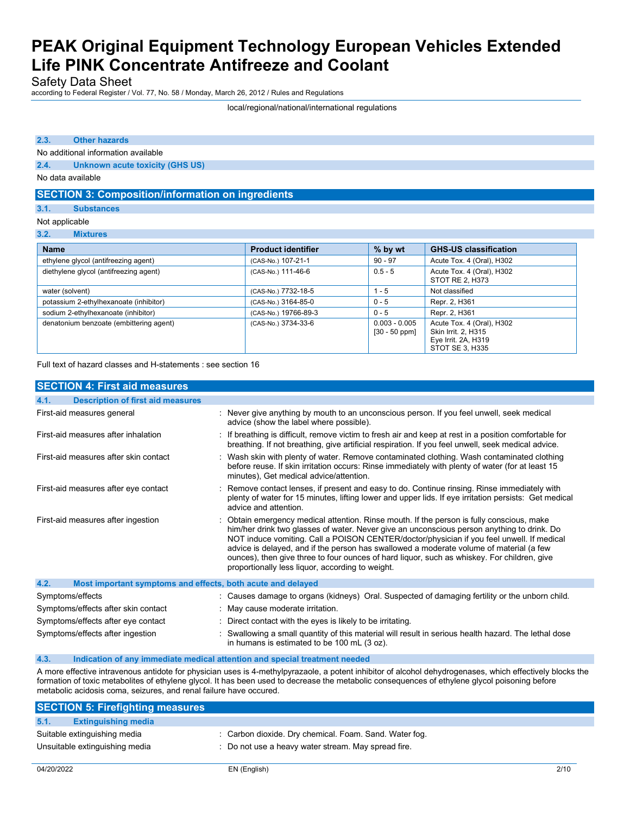Safety Data Sheet

according to Federal Register / Vol. 77, No. 58 / Monday, March 26, 2012 / Rules and Regulations

#### local/regional/national/international regulations

### **2.3. Other hazards**

No additional information available

**2.4. Unknown acute toxicity (GHS US)**

No data available

## **SECTION 3: Composition/information on ingredients**

#### **3.1. Substances**

Not applicable

**3.2. Mixtures**

| <b>Name</b>                             | <b>Product identifier</b> | % by wt                            | <b>GHS-US classification</b>                                                               |
|-----------------------------------------|---------------------------|------------------------------------|--------------------------------------------------------------------------------------------|
| ethylene glycol (antifreezing agent)    | (CAS-No.) 107-21-1        | $90 - 97$                          | Acute Tox. 4 (Oral), H302                                                                  |
| diethylene glycol (antifreezing agent)  | (CAS-No.) 111-46-6        | $0.5 - 5$                          | Acute Tox. 4 (Oral), H302<br>STOT RE 2, H373                                               |
| water (solvent)                         | (CAS-No.) 7732-18-5       | $1 - 5$                            | Not classified                                                                             |
| potassium 2-ethylhexanoate (inhibitor)  | (CAS-No.) 3164-85-0       | $0 - 5$                            | Repr. 2, H361                                                                              |
| sodium 2-ethylhexanoate (inhibitor)     | (CAS-No.) 19766-89-3      | $0 - 5$                            | Repr. 2, H361                                                                              |
| denatonium benzoate (embittering agent) | (CAS-No.) 3734-33-6       | $0.003 - 0.005$<br>$[30 - 50$ ppm] | Acute Tox. 4 (Oral), H302<br>Skin Irrit. 2, H315<br>Eye Irrit. 2A, H319<br>STOT SE 3, H335 |

Full text of hazard classes and H-statements : see section 16

| <b>SECTION 4: First aid measures</b>                                |                                                                                                                                                                                                                                                                                                                                                                                                                                                                                                                                    |  |
|---------------------------------------------------------------------|------------------------------------------------------------------------------------------------------------------------------------------------------------------------------------------------------------------------------------------------------------------------------------------------------------------------------------------------------------------------------------------------------------------------------------------------------------------------------------------------------------------------------------|--|
| <b>Description of first aid measures</b><br>4.1.                    |                                                                                                                                                                                                                                                                                                                                                                                                                                                                                                                                    |  |
| First-aid measures general                                          | : Never give anything by mouth to an unconscious person. If you feel unwell, seek medical<br>advice (show the label where possible).                                                                                                                                                                                                                                                                                                                                                                                               |  |
| First-aid measures after inhalation                                 | : If breathing is difficult, remove victim to fresh air and keep at rest in a position comfortable for<br>breathing. If not breathing, give artificial respiration. If you feel unwell, seek medical advice.                                                                                                                                                                                                                                                                                                                       |  |
| First-aid measures after skin contact                               | : Wash skin with plenty of water. Remove contaminated clothing. Wash contaminated clothing<br>before reuse. If skin irritation occurs: Rinse immediately with plenty of water (for at least 15<br>minutes), Get medical advice/attention.                                                                                                                                                                                                                                                                                          |  |
| First-aid measures after eye contact                                | : Remove contact lenses, if present and easy to do. Continue rinsing. Rinse immediately with<br>plenty of water for 15 minutes, lifting lower and upper lids. If eye irritation persists: Get medical<br>advice and attention.                                                                                                                                                                                                                                                                                                     |  |
| First-aid measures after ingestion                                  | : Obtain emergency medical attention. Rinse mouth. If the person is fully conscious, make<br>him/her drink two glasses of water. Never give an unconscious person anything to drink. Do<br>NOT induce vomiting. Call a POISON CENTER/doctor/physician if you feel unwell. If medical<br>advice is delayed, and if the person has swallowed a moderate volume of material (a few<br>ounces), then give three to four ounces of hard liquor, such as whiskey. For children, give<br>proportionally less liquor, according to weight. |  |
| 4.2.<br>Most important symptoms and effects, both acute and delayed |                                                                                                                                                                                                                                                                                                                                                                                                                                                                                                                                    |  |
| Symptoms/effects                                                    | : Causes damage to organs (kidneys) Oral. Suspected of damaging fertility or the unborn child.                                                                                                                                                                                                                                                                                                                                                                                                                                     |  |
| Symptoms/effects after skin contact                                 | : May cause moderate irritation.                                                                                                                                                                                                                                                                                                                                                                                                                                                                                                   |  |
| Symptoms/effects after eye contact                                  | : Direct contact with the eyes is likely to be irritating.                                                                                                                                                                                                                                                                                                                                                                                                                                                                         |  |
| Symptoms/effects after ingestion                                    | : Swallowing a small quantity of this material will result in serious health hazard. The lethal dose<br>in humans is estimated to be 100 mL (3 oz).                                                                                                                                                                                                                                                                                                                                                                                |  |

#### **4.3. Indication of any immediate medical attention and special treatment needed**

A more effective intravenous antidote for physician uses is 4-methylpyrazaole, a potent inhibitor of alcohol dehydrogenases, which effectively blocks the formation of toxic metabolites of ethylene glycol. It has been used to decrease the metabolic consequences of ethylene glycol poisoning before metabolic acidosis coma, seizures, and renal failure have occured.

| <b>SECTION 5: Firefighting measures</b> |                                                        |
|-----------------------------------------|--------------------------------------------------------|
| 5.1.<br><b>Extinguishing media</b>      |                                                        |
| Suitable extinguishing media            | : Carbon dioxide. Dry chemical. Foam. Sand. Water fog. |
| Unsuitable extinguishing media          | : Do not use a heavy water stream. May spread fire.    |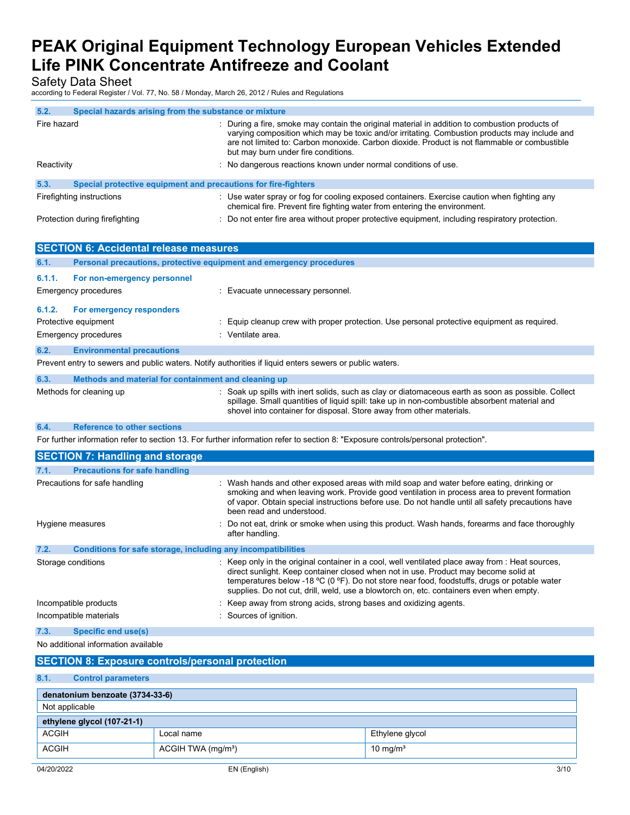Safety Data Sheet

according to Federal Register / Vol. 77, No. 58 / Monday, March 26, 2012 / Rules and Regulations

| 5.2.<br>Special hazards arising from the substance or mixture                                           |                                                                                                                                                                                                                                                                                                                                                                                  |  |
|---------------------------------------------------------------------------------------------------------|----------------------------------------------------------------------------------------------------------------------------------------------------------------------------------------------------------------------------------------------------------------------------------------------------------------------------------------------------------------------------------|--|
| Fire hazard                                                                                             | During a fire, smoke may contain the original material in addition to combustion products of<br>varying composition which may be toxic and/or irritating. Combustion products may include and<br>are not limited to: Carbon monoxide. Carbon dioxide. Product is not flammable or combustible<br>but may burn under fire conditions.                                             |  |
| Reactivity                                                                                              | : No dangerous reactions known under normal conditions of use.                                                                                                                                                                                                                                                                                                                   |  |
| 5.3.<br>Special protective equipment and precautions for fire-fighters                                  |                                                                                                                                                                                                                                                                                                                                                                                  |  |
| Firefighting instructions                                                                               | : Use water spray or fog for cooling exposed containers. Exercise caution when fighting any<br>chemical fire. Prevent fire fighting water from entering the environment.                                                                                                                                                                                                         |  |
| Protection during firefighting                                                                          | : Do not enter fire area without proper protective equipment, including respiratory protection.                                                                                                                                                                                                                                                                                  |  |
|                                                                                                         |                                                                                                                                                                                                                                                                                                                                                                                  |  |
| <b>SECTION 6: Accidental release measures</b>                                                           |                                                                                                                                                                                                                                                                                                                                                                                  |  |
| Personal precautions, protective equipment and emergency procedures<br>6.1.                             |                                                                                                                                                                                                                                                                                                                                                                                  |  |
| 6.1.1.<br>For non-emergency personnel                                                                   |                                                                                                                                                                                                                                                                                                                                                                                  |  |
| <b>Emergency procedures</b>                                                                             | : Evacuate unnecessary personnel.                                                                                                                                                                                                                                                                                                                                                |  |
| 6.1.2.<br>For emergency responders                                                                      |                                                                                                                                                                                                                                                                                                                                                                                  |  |
| Protective equipment                                                                                    | Equip cleanup crew with proper protection. Use personal protective equipment as required.                                                                                                                                                                                                                                                                                        |  |
| <b>Emergency procedures</b>                                                                             | : Ventilate area.                                                                                                                                                                                                                                                                                                                                                                |  |
| 6.2.<br><b>Environmental precautions</b>                                                                |                                                                                                                                                                                                                                                                                                                                                                                  |  |
| Prevent entry to sewers and public waters. Notify authorities if liquid enters sewers or public waters. |                                                                                                                                                                                                                                                                                                                                                                                  |  |
| 6.3.<br>Methods and material for containment and cleaning up                                            |                                                                                                                                                                                                                                                                                                                                                                                  |  |
| Methods for cleaning up                                                                                 | Soak up spills with inert solids, such as clay or diatomaceous earth as soon as possible. Collect                                                                                                                                                                                                                                                                                |  |
|                                                                                                         | spillage. Small quantities of liquid spill: take up in non-combustible absorbent material and<br>shovel into container for disposal. Store away from other materials.                                                                                                                                                                                                            |  |
| <b>Reference to other sections</b><br>6.4.                                                              |                                                                                                                                                                                                                                                                                                                                                                                  |  |
|                                                                                                         | For further information refer to section 13. For further information refer to section 8: "Exposure controls/personal protection".                                                                                                                                                                                                                                                |  |
| <b>SECTION 7: Handling and storage</b>                                                                  |                                                                                                                                                                                                                                                                                                                                                                                  |  |
| 7.1.<br><b>Precautions for safe handling</b>                                                            |                                                                                                                                                                                                                                                                                                                                                                                  |  |
| Precautions for safe handling                                                                           | : Wash hands and other exposed areas with mild soap and water before eating, drinking or<br>smoking and when leaving work. Provide good ventilation in process area to prevent formation<br>of vapor. Obtain special instructions before use. Do not handle until all safety precautions have<br>been read and understood.                                                       |  |
| Hygiene measures                                                                                        | Do not eat, drink or smoke when using this product. Wash hands, forearms and face thoroughly<br>after handling.                                                                                                                                                                                                                                                                  |  |
| Conditions for safe storage, including any incompatibilities<br>7.2.                                    |                                                                                                                                                                                                                                                                                                                                                                                  |  |
| Storage conditions                                                                                      | Keep only in the original container in a cool, well ventilated place away from : Heat sources,<br>direct sunlight. Keep container closed when not in use. Product may become solid at<br>temperatures below -18 °C (0 °F). Do not store near food, foodstuffs, drugs or potable water<br>supplies. Do not cut, drill, weld, use a blowtorch on, etc. containers even when empty. |  |
| Incompatible products                                                                                   | Keep away from strong acids, strong bases and oxidizing agents.                                                                                                                                                                                                                                                                                                                  |  |
| Incompatible materials                                                                                  | : Sources of ignition.                                                                                                                                                                                                                                                                                                                                                           |  |
| <b>Specific end use(s)</b><br>7.3.                                                                      |                                                                                                                                                                                                                                                                                                                                                                                  |  |
| No additional information available                                                                     |                                                                                                                                                                                                                                                                                                                                                                                  |  |
| <b>SECTION 8: Exposure controls/personal protection</b>                                                 |                                                                                                                                                                                                                                                                                                                                                                                  |  |
| 8.1.<br><b>Control parameters</b>                                                                       |                                                                                                                                                                                                                                                                                                                                                                                  |  |
| denatonium benzoate (3734-33-6)                                                                         |                                                                                                                                                                                                                                                                                                                                                                                  |  |

| Not applicable             |                                |                      |
|----------------------------|--------------------------------|----------------------|
| ethylene glycol (107-21-1) |                                |                      |
| <b>ACGIH</b>               | Local name                     | Ethylene glycol      |
| <b>ACGIH</b>               | ACGIH TWA (mg/m <sup>3</sup> ) | 10 mg/m <sup>3</sup> |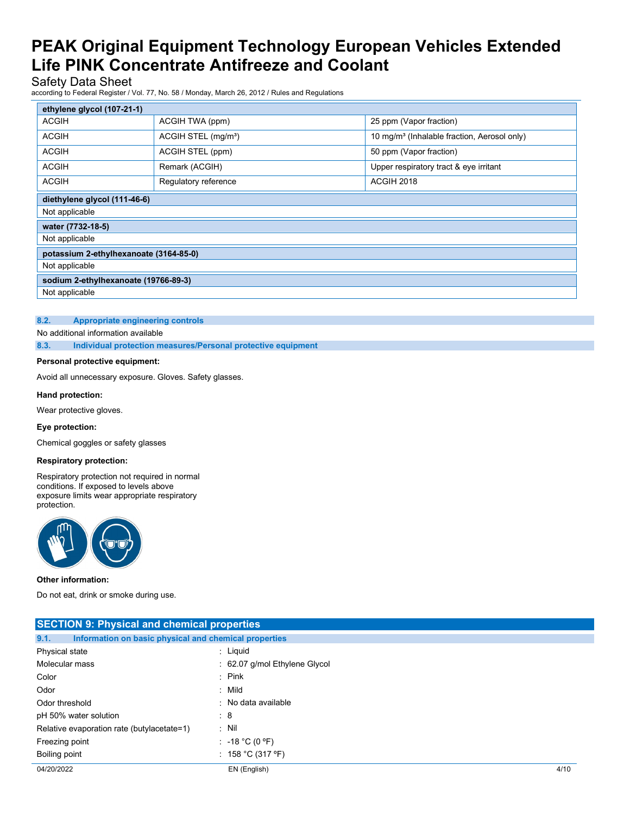Safety Data Sheet

according to Federal Register / Vol. 77, No. 58 / Monday, March 26, 2012 / Rules and Regulations

| ethylene glycol (107-21-1)             |                                 |                                                         |  |
|----------------------------------------|---------------------------------|---------------------------------------------------------|--|
| <b>ACGIH</b>                           | ACGIH TWA (ppm)                 | 25 ppm (Vapor fraction)                                 |  |
| <b>ACGIH</b>                           | ACGIH STEL (mg/m <sup>3</sup> ) | 10 mg/m <sup>3</sup> (Inhalable fraction, Aerosol only) |  |
| <b>ACGIH</b>                           | ACGIH STEL (ppm)                | 50 ppm (Vapor fraction)                                 |  |
| <b>ACGIH</b>                           | Remark (ACGIH)                  | Upper respiratory tract & eye irritant                  |  |
| <b>ACGIH</b>                           | Regulatory reference            | ACGIH 2018                                              |  |
| diethylene glycol (111-46-6)           |                                 |                                                         |  |
| Not applicable                         |                                 |                                                         |  |
| water (7732-18-5)                      |                                 |                                                         |  |
| Not applicable                         |                                 |                                                         |  |
| potassium 2-ethylhexanoate (3164-85-0) |                                 |                                                         |  |
| Not applicable                         |                                 |                                                         |  |
| sodium 2-ethylhexanoate (19766-89-3)   |                                 |                                                         |  |
| Not applicable                         |                                 |                                                         |  |

### **8.2. Appropriate engineering controls**

No additional information available

**8.3. Individual protection measures/Personal protective equipment**

### **Personal protective equipment:**

Avoid all unnecessary exposure. Gloves. Safety glasses.

### **Hand protection:**

Wear protective gloves.

### **Eye protection:**

Chemical goggles or safety glasses

### **Respiratory protection:**

Respiratory protection not required in normal conditions. If exposed to levels above exposure limits wear appropriate respiratory protection.



**Other information:**

Do not eat, drink or smoke during use.

| <b>SECTION 9: Physical and chemical properties</b>            |                               |      |
|---------------------------------------------------------------|-------------------------------|------|
| 9.1.<br>Information on basic physical and chemical properties |                               |      |
| Physical state                                                | : Liquid                      |      |
| Molecular mass                                                | : 62.07 g/mol Ethylene Glycol |      |
| Color                                                         | $\therefore$ Pink             |      |
| Odor                                                          | : Mild                        |      |
| Odor threshold                                                | : No data available           |      |
| pH 50% water solution                                         | $\mathbf{.8}$                 |      |
| Relative evaporation rate (butylacetate=1)                    | $:$ Nil                       |      |
| Freezing point                                                | : $-18 °C (0 °F)$             |      |
| Boiling point                                                 | : 158 °C (317 °F)             |      |
| 04/20/2022                                                    | EN (English)                  | 4/10 |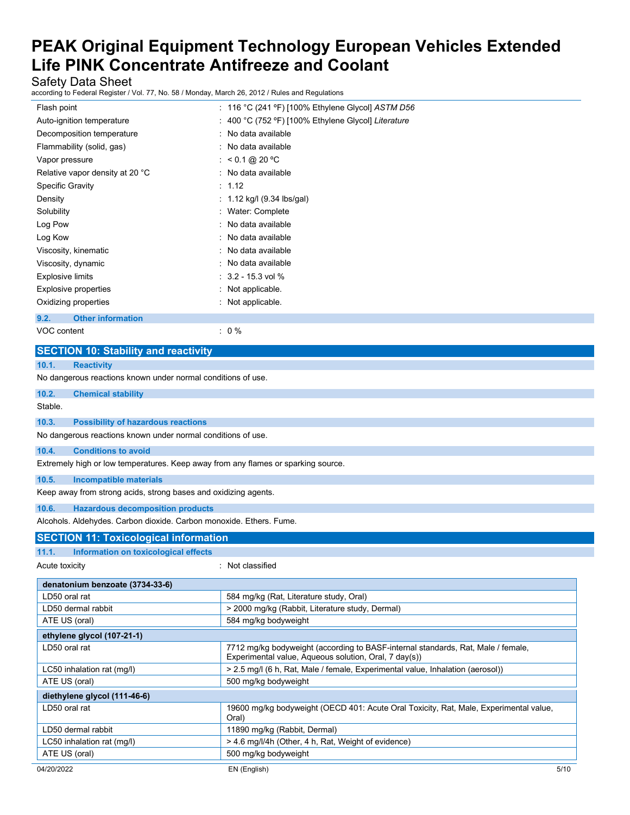Safety Data Sheet

according to Federal Register / Vol. 77, No. 58 / Monday, March 26, 2012 / Rules and Regulations

| Flash point                                 | : 116 °C (241 °F) [100% Ethylene Glycol] $ASTM$ D56 |
|---------------------------------------------|-----------------------------------------------------|
| Auto-ignition temperature                   | : 400 °C (752 °F) [100% Ethylene Glycol] Literature |
| Decomposition temperature                   | : No data available                                 |
| Flammability (solid, gas)                   | : No data available                                 |
| Vapor pressure                              | : $< 0.1 \text{ @ } 20 \text{ °C}$                  |
| Relative vapor density at 20 °C             | : No data available                                 |
| <b>Specific Gravity</b>                     | : 1.12                                              |
| Density                                     | : $1.12$ kg/l (9.34 lbs/gal)                        |
| Solubility                                  | : Water: Complete                                   |
| Log Pow                                     | No data available                                   |
| Log Kow                                     | : No data available                                 |
| Viscosity, kinematic                        | No data available                                   |
| Viscosity, dynamic                          | No data available                                   |
| <b>Explosive limits</b>                     | $: 3.2 - 15.3$ vol %                                |
| Explosive properties                        | Not applicable.                                     |
| Oxidizing properties                        | Not applicable.                                     |
| <b>Other information</b><br>9.2.            |                                                     |
| VOC content                                 | $: 0 \%$                                            |
|                                             |                                                     |
| <b>SECTION 10: Stability and reactivity</b> |                                                     |

| 10.1.<br><b>Reactivity</b>                                                        |                                                                                                                                           |  |
|-----------------------------------------------------------------------------------|-------------------------------------------------------------------------------------------------------------------------------------------|--|
| No dangerous reactions known under normal conditions of use.                      |                                                                                                                                           |  |
| 10.2.<br><b>Chemical stability</b>                                                |                                                                                                                                           |  |
| Stable.                                                                           |                                                                                                                                           |  |
| 10.3.<br><b>Possibility of hazardous reactions</b>                                |                                                                                                                                           |  |
| No dangerous reactions known under normal conditions of use.                      |                                                                                                                                           |  |
| 10.4.<br><b>Conditions to avoid</b>                                               |                                                                                                                                           |  |
| Extremely high or low temperatures. Keep away from any flames or sparking source. |                                                                                                                                           |  |
| 10.5.<br><b>Incompatible materials</b>                                            |                                                                                                                                           |  |
| Keep away from strong acids, strong bases and oxidizing agents.                   |                                                                                                                                           |  |
| 10.6.<br><b>Hazardous decomposition products</b>                                  |                                                                                                                                           |  |
| Alcohols. Aldehydes. Carbon dioxide. Carbon monoxide. Ethers. Fume.               |                                                                                                                                           |  |
| <b>SECTION 11: Toxicological information</b>                                      |                                                                                                                                           |  |
| 11.1.<br><b>Information on toxicological effects</b>                              |                                                                                                                                           |  |
| Acute toxicity                                                                    | : Not classified                                                                                                                          |  |
| denatonium benzoate (3734-33-6)                                                   |                                                                                                                                           |  |
| LD50 oral rat                                                                     | 584 mg/kg (Rat, Literature study, Oral)                                                                                                   |  |
| LD50 dermal rabbit                                                                | > 2000 mg/kg (Rabbit, Literature study, Dermal)                                                                                           |  |
| ATE US (oral)                                                                     | 584 mg/kg bodyweight                                                                                                                      |  |
| ethylene glycol (107-21-1)                                                        |                                                                                                                                           |  |
| LD50 oral rat                                                                     | 7712 mg/kg bodyweight (according to BASF-internal standards, Rat, Male / female,<br>Experimental value, Aqueous solution, Oral, 7 day(s)) |  |
| LC50 inhalation rat (mq/l)                                                        | > 2.5 mg/l (6 h, Rat, Male / female, Experimental value, Inhalation (aerosol))                                                            |  |
| ATE US (oral)                                                                     | 500 mg/kg bodyweight                                                                                                                      |  |
| diethylene glycol (111-46-6)                                                      |                                                                                                                                           |  |
| LD50 oral rat                                                                     | 19600 mg/kg bodyweight (OECD 401: Acute Oral Toxicity, Rat, Male, Experimental value,<br>Oral)                                            |  |
| LD50 dermal rabbit                                                                | 11890 mg/kg (Rabbit, Dermal)                                                                                                              |  |
| LC50 inhalation rat (mg/l)                                                        | > 4.6 mg/l/4h (Other, 4 h, Rat, Weight of evidence)                                                                                       |  |
| ATE US (oral)                                                                     | 500 mg/kg bodyweight                                                                                                                      |  |
| 04/20/2022                                                                        | EN (English)<br>5/10                                                                                                                      |  |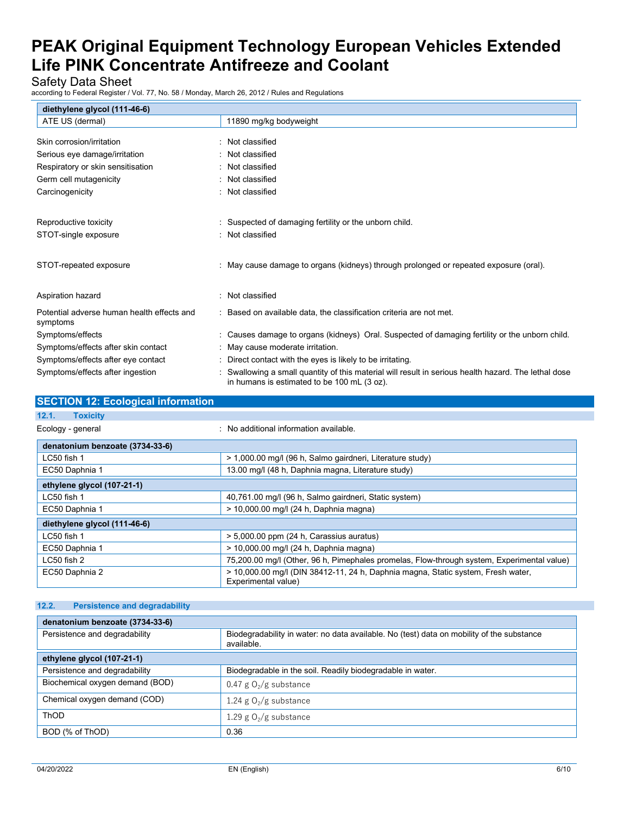Safety Data Sheet

according to Federal Register / Vol. 77, No. 58 / Monday, March 26, 2012 / Rules and Regulations

| diethylene glycol (111-46-6)               |                                                                                                                                                   |
|--------------------------------------------|---------------------------------------------------------------------------------------------------------------------------------------------------|
| ATE US (dermal)                            | 11890 mg/kg bodyweight                                                                                                                            |
|                                            |                                                                                                                                                   |
| Skin corrosion/irritation                  | : Not classified                                                                                                                                  |
| Serious eye damage/irritation              | Not classified                                                                                                                                    |
| Respiratory or skin sensitisation          | : Not classified                                                                                                                                  |
| Germ cell mutagenicity                     | Not classified                                                                                                                                    |
| Carcinogenicity                            | Not classified                                                                                                                                    |
|                                            |                                                                                                                                                   |
| Reproductive toxicity                      | Suspected of damaging fertility or the unborn child.                                                                                              |
| STOT-single exposure                       | : Not classified                                                                                                                                  |
|                                            |                                                                                                                                                   |
| STOT-repeated exposure                     | : May cause damage to organs (kidneys) through prolonged or repeated exposure (oral).                                                             |
|                                            |                                                                                                                                                   |
| Aspiration hazard                          | Not classified                                                                                                                                    |
| Potential adverse human health effects and | : Based on available data, the classification criteria are not met.                                                                               |
| symptoms                                   |                                                                                                                                                   |
| Symptoms/effects                           | : Causes damage to organs (kidneys) Oral. Suspected of damaging fertility or the unborn child.                                                    |
| Symptoms/effects after skin contact        | May cause moderate irritation.                                                                                                                    |
| Symptoms/effects after eye contact         | Direct contact with the eyes is likely to be irritating.                                                                                          |
| Symptoms/effects after ingestion           | Swallowing a small quantity of this material will result in serious health hazard. The lethal dose<br>in humans is estimated to be 100 mL (3 oz). |

# **SECTION 12: Ecological information 12.1. Toxicity** Ecology - general information available. **denatonium benzoate (3734-33-6)** LC50 fish 1  $\vert$  > 1,000.00 mg/l (96 h, Salmo gairdneri, Literature study) EC50 Daphnia 1 13.00 mg/l (48 h, Daphnia magna, Literature study) **ethylene glycol (107-21-1)** LC50 fish 1 **40,761.00 mg/l (96 h, Salmo gairdneri, Static system)** 40,761.00 mg/l (96 h, Salmo gairdneri, Static system) EC50 Daphnia 1  $\vert$  > 10,000.00 mg/l (24 h, Daphnia magna) **diethylene glycol (111-46-6)**  $\vert$  > 5,000.00 ppm (24 h, Carassius auratus) EC50 Daphnia 1 > 10,000.00 mg/l (24 h, Daphnia magna) LC50 fish 2 75,200.00 mg/l (Other, 96 h, Pimephales promelas, Flow-through system, Experimental value) EC50 Daphnia 2 > 10,000.00 mg/l (DIN 38412-11, 24 h, Daphnia magna, Static system, Fresh water,

| 12.2.<br><b>Persistence and degradability</b> |                                                                                                         |  |
|-----------------------------------------------|---------------------------------------------------------------------------------------------------------|--|
| denatonium benzoate (3734-33-6)               |                                                                                                         |  |
| Persistence and degradability                 | Biodegradability in water: no data available. No (test) data on mobility of the substance<br>available. |  |
| ethylene glycol (107-21-1)                    |                                                                                                         |  |
| Persistence and degradability                 | Biodegradable in the soil. Readily biodegradable in water.                                              |  |
| Biochemical oxygen demand (BOD)               | 0.47 g $O_2/g$ substance                                                                                |  |
| Chemical oxygen demand (COD)                  | 1.24 g $O_2/g$ substance                                                                                |  |
| ThOD                                          | 1.29 g $O_2/g$ substance                                                                                |  |
| BOD (% of ThOD)                               | 0.36                                                                                                    |  |

Experimental value)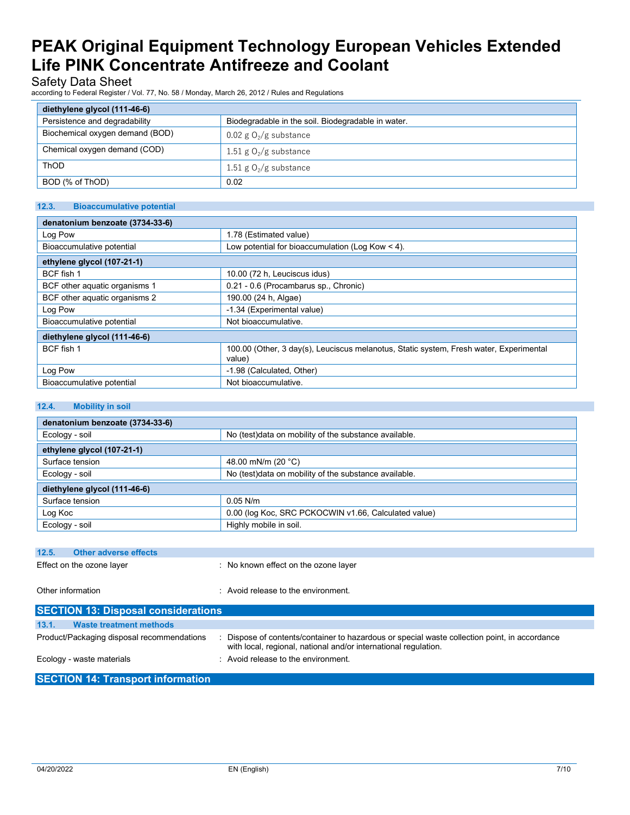# Safety Data Sheet

according to Federal Register / Vol. 77, No. 58 / Monday, March 26, 2012 / Rules and Regulations

| diethylene glycol (111-46-6)    |                                                    |  |  |
|---------------------------------|----------------------------------------------------|--|--|
| Persistence and degradability   | Biodegradable in the soil. Biodegradable in water. |  |  |
| Biochemical oxygen demand (BOD) | $0.02$ g $O_2/g$ substance                         |  |  |
| Chemical oxygen demand (COD)    | 1.51 g $O_2/g$ substance                           |  |  |
| ThOD                            | 1.51 g $O_2/g$ substance                           |  |  |
| BOD (% of ThOD)                 | 0.02                                               |  |  |

## **12.3. Bioaccumulative potential**

| denatonium benzoate (3734-33-6) |                                                                                                  |
|---------------------------------|--------------------------------------------------------------------------------------------------|
| Log Pow                         | 1.78 (Estimated value)                                                                           |
| Bioaccumulative potential       | Low potential for bioaccumulation (Log Kow $<$ 4).                                               |
| ethylene glycol (107-21-1)      |                                                                                                  |
| BCF fish 1                      | 10.00 (72 h, Leuciscus idus)                                                                     |
| BCF other aquatic organisms 1   | 0.21 - 0.6 (Procambarus sp., Chronic)                                                            |
| BCF other aquatic organisms 2   | 190.00 (24 h, Algae)                                                                             |
| Log Pow                         | -1.34 (Experimental value)                                                                       |
| Bioaccumulative potential       | Not bioaccumulative.                                                                             |
| diethylene glycol (111-46-6)    |                                                                                                  |
| BCF fish 1                      | 100.00 (Other, 3 day(s), Leuciscus melanotus, Static system, Fresh water, Experimental<br>value) |
| Log Pow                         | -1.98 (Calculated, Other)                                                                        |
| Bioaccumulative potential       | Not bioaccumulative.                                                                             |

## **12.4. Mobility in soil**

| denatonium benzoate (3734-33-6)                                         |                                                                                                                                                                  |  |  |  |  |
|-------------------------------------------------------------------------|------------------------------------------------------------------------------------------------------------------------------------------------------------------|--|--|--|--|
| No (test)data on mobility of the substance available.<br>Ecology - soil |                                                                                                                                                                  |  |  |  |  |
| ethylene glycol (107-21-1)                                              |                                                                                                                                                                  |  |  |  |  |
| Surface tension                                                         | 48.00 mN/m (20 °C)                                                                                                                                               |  |  |  |  |
| Ecology - soil                                                          | No (test)data on mobility of the substance available.                                                                                                            |  |  |  |  |
| diethylene glycol (111-46-6)                                            |                                                                                                                                                                  |  |  |  |  |
| Surface tension                                                         | $0.05$ N/m                                                                                                                                                       |  |  |  |  |
| Log Koc                                                                 | 0.00 (log Koc, SRC PCKOCWIN v1.66, Calculated value)                                                                                                             |  |  |  |  |
| Ecology - soil                                                          | Highly mobile in soil.                                                                                                                                           |  |  |  |  |
|                                                                         |                                                                                                                                                                  |  |  |  |  |
| <b>Other adverse effects</b><br>12.5.                                   |                                                                                                                                                                  |  |  |  |  |
| Effect on the ozone layer                                               | : No known effect on the ozone layer                                                                                                                             |  |  |  |  |
|                                                                         |                                                                                                                                                                  |  |  |  |  |
| Other information                                                       | : Avoid release to the environment.                                                                                                                              |  |  |  |  |
|                                                                         |                                                                                                                                                                  |  |  |  |  |
| <b>SECTION 13: Disposal considerations</b>                              |                                                                                                                                                                  |  |  |  |  |
| 13.1.<br><b>Waste treatment methods</b>                                 |                                                                                                                                                                  |  |  |  |  |
| Product/Packaging disposal recommendations                              | : Dispose of contents/container to hazardous or special waste collection point, in accordance<br>with local, regional, national and/or international regulation. |  |  |  |  |
| Ecology - waste materials                                               | : Avoid release to the environment.                                                                                                                              |  |  |  |  |
| <b>SECTION 14: Transport information</b>                                |                                                                                                                                                                  |  |  |  |  |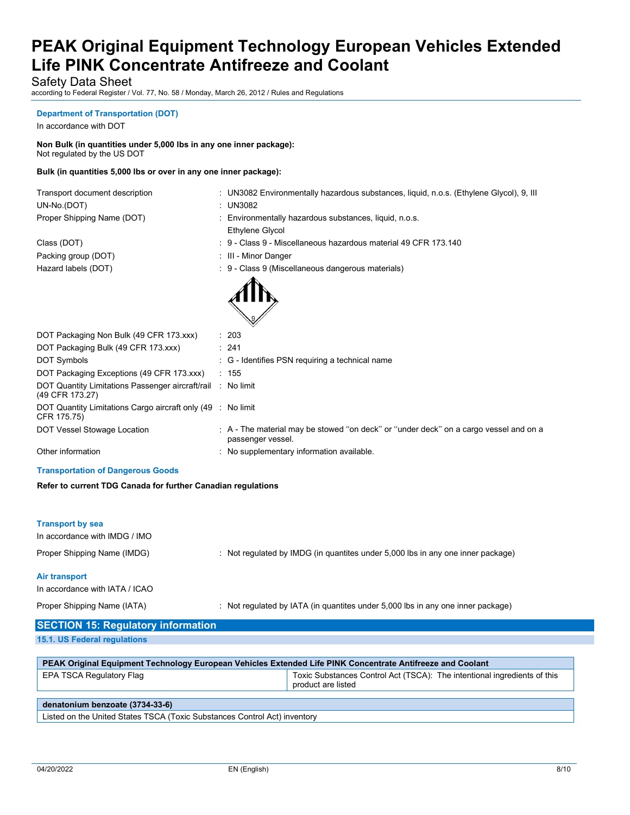Safety Data Sheet

according to Federal Register / Vol. 77, No. 58 / Monday, March 26, 2012 / Rules and Regulations

### **Department of Transportation (DOT)**

In accordance with DOT

**Non Bulk (in quantities under 5,000 lbs in any one inner package):** Not regulated by the US DOT

## **Bulk (in quantities 5,000 lbs or over in any one inner package):**

| Transport document description | : UN3082   |
|--------------------------------|------------|
| UN-No.(DOT)                    | : UN3082   |
| Proper Shipping Name (DOT)     | : Environr |
|                                |            |

Packing group (DOT) **in the case of the COV** in the Minor Danger

| Transport document description | UN3082 Environmentally hazardous substances, liquid, n.o.s. (Ethylene Glycol), 9, III |
|--------------------------------|---------------------------------------------------------------------------------------|
| 1.11.1 1.027                   | 1110000                                                                               |

- mentally hazardous substances, liquid, n.o.s.
- Ethylene Glycol
- Class (DOT) **Sales (DOT)** : 9 Class 9 Miscellaneous hazardous material 49 CFR 173.140
	-
- Hazard labels (DOT) **19 Class 9 (Miscellaneous dangerous materials**) **: 9 Class 9 (Miscellaneous dangerous materials**)



| DOT Packaging Non Bulk (49 CFR 173.xxx)                                        | : 203                                                                                                      |
|--------------------------------------------------------------------------------|------------------------------------------------------------------------------------------------------------|
| DOT Packaging Bulk (49 CFR 173.xxx)                                            | : 241                                                                                                      |
| DOT Symbols                                                                    | : G - Identifies PSN requiring a technical name                                                            |
| DOT Packaging Exceptions (49 CFR 173.xxx)                                      | : 155                                                                                                      |
| DOT Quantity Limitations Passenger aircraft/rail : No limit<br>(49 CFR 173.27) |                                                                                                            |
| DOT Quantity Limitations Cargo aircraft only (49 : No limit<br>CFR 175.75)     |                                                                                                            |
| DOT Vessel Stowage Location                                                    | . A - The material may be stowed "on deck" or "under deck" on a cargo vessel and on a<br>passenger vessel. |
| Other information                                                              | : No supplementary information available.                                                                  |
|                                                                                |                                                                                                            |

#### **Transportation of Dangerous Goods**

**Refer to current TDG Canada for further Canadian regulations**

| <b>Transport by sea</b><br>In accordance with IMDG / IMO |                                                                                 |
|----------------------------------------------------------|---------------------------------------------------------------------------------|
| Proper Shipping Name (IMDG)                              | : Not regulated by IMDG (in quantites under 5,000 lbs in any one inner package) |
| Air transport<br>In accordance with IATA / ICAO          |                                                                                 |

Proper Shipping Name (IATA) : Not regulated by IATA (in quantites under 5,000 lbs in any one inner package)

# **SECTION 15: Regulatory information**

**15.1. US Federal regulations**

| PEAK Original Equipment Technology European Vehicles Extended Life PINK Concentrate Antifreeze and Coolant |                                                                                                |  |  |
|------------------------------------------------------------------------------------------------------------|------------------------------------------------------------------------------------------------|--|--|
| EPA TSCA Regulatory Flag                                                                                   | Toxic Substances Control Act (TSCA): The intentional ingredients of this<br>product are listed |  |  |
| denatonium benzoate (3734-33-6)                                                                            |                                                                                                |  |  |
| Listed on the United States TSCA (Toxic Substances Control Act) inventory                                  |                                                                                                |  |  |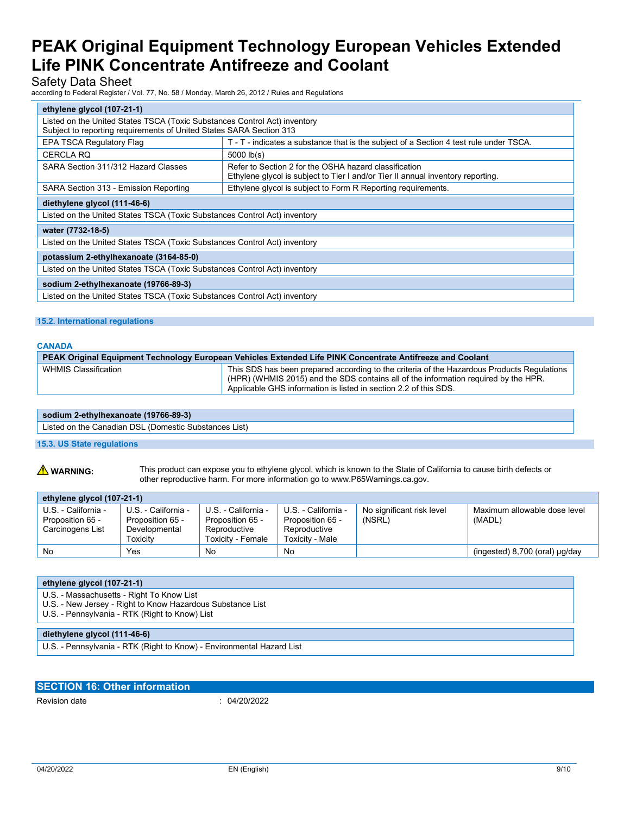# Safety Data Sheet

according to Federal Register / Vol. 77, No. 58 / Monday, March 26, 2012 / Rules and Regulations

| ethylene glycol (107-21-1)                                                                                                                                                      |                                                                                        |  |  |
|---------------------------------------------------------------------------------------------------------------------------------------------------------------------------------|----------------------------------------------------------------------------------------|--|--|
| Listed on the United States TSCA (Toxic Substances Control Act) inventory<br>Subject to reporting requirements of United States SARA Section 313                                |                                                                                        |  |  |
| <b>EPA TSCA Regulatory Flag</b>                                                                                                                                                 | T - T - indicates a substance that is the subject of a Section 4 test rule under TSCA. |  |  |
| <b>CERCLA RQ</b>                                                                                                                                                                | $5000$ $lb(s)$                                                                         |  |  |
| SARA Section 311/312 Hazard Classes<br>Refer to Section 2 for the OSHA hazard classification<br>Ethylene glycol is subject to Tier I and/or Tier II annual inventory reporting. |                                                                                        |  |  |
| Ethylene glycol is subject to Form R Reporting requirements.<br>SARA Section 313 - Emission Reporting                                                                           |                                                                                        |  |  |
| diethylene glycol (111-46-6)                                                                                                                                                    |                                                                                        |  |  |
| Listed on the United States TSCA (Toxic Substances Control Act) inventory                                                                                                       |                                                                                        |  |  |
| water (7732-18-5)                                                                                                                                                               |                                                                                        |  |  |
| Listed on the United States TSCA (Toxic Substances Control Act) inventory                                                                                                       |                                                                                        |  |  |
| potassium 2-ethylhexanoate (3164-85-0)                                                                                                                                          |                                                                                        |  |  |
| Listed on the United States TSCA (Toxic Substances Control Act) inventory                                                                                                       |                                                                                        |  |  |
| sodium 2-ethylhexanoate (19766-89-3)                                                                                                                                            |                                                                                        |  |  |
| Listed on the United States TSCA (Toxic Substances Control Act) inventory                                                                                                       |                                                                                        |  |  |

### **15.2. International regulations**

### **CANADA**

| PEAK Original Equipment Technology European Vehicles Extended Life PINK Concentrate Antifreeze and Coolant |                                                                                                                                                                                                                                                       |  |
|------------------------------------------------------------------------------------------------------------|-------------------------------------------------------------------------------------------------------------------------------------------------------------------------------------------------------------------------------------------------------|--|
| WHMIS Classification                                                                                       | This SDS has been prepared according to the criteria of the Hazardous Products Regulations<br>(HPR) (WHMIS 2015) and the SDS contains all of the information required by the HPR.<br>Applicable GHS information is listed in section 2.2 of this SDS. |  |

#### **sodium 2-ethylhexanoate (19766-89-3)**

Listed on the Canadian DSL (Domestic Substances List)

## **15.3. US State regulations**

**A WARNING:** This product can expose you to ethylene glycol, which is known to the State of California to cause birth defects or other reproductive harm. For more information go to www.P65Warnings.ca.gov.

| ethylene glycol (107-21-1)                                  |                                                                      |                                                                              |                                                                            |                                     |                                        |  |  |  |
|-------------------------------------------------------------|----------------------------------------------------------------------|------------------------------------------------------------------------------|----------------------------------------------------------------------------|-------------------------------------|----------------------------------------|--|--|--|
| U.S. - California -<br>Proposition 65 -<br>Carcinogens List | U.S. - California -<br>Proposition 65 -<br>Developmental<br>Toxicitv | U.S. - California -<br>Proposition 65 -<br>Reproductive<br>Toxicitv - Female | U.S. - California -<br>Proposition 65 -<br>Reproductive<br>Toxicity - Male | No significant risk level<br>(NSRL) | Maximum allowable dose level<br>(MADL) |  |  |  |
| No                                                          | Yes                                                                  | No                                                                           | No                                                                         |                                     | (ingested) $8,700$ (oral) $\mu q$ /day |  |  |  |

| ethylene glycol (107-21-1)                                            |  |
|-----------------------------------------------------------------------|--|
| U.S. - Massachusetts - Right To Know List                             |  |
| U.S. - New Jersey - Right to Know Hazardous Substance List            |  |
| U.S. - Pennsylvania - RTK (Right to Know) List                        |  |
|                                                                       |  |
| diethylene glycol (111-46-6)                                          |  |
| U.S. - Pennsylvania - RTK (Right to Know) - Environmental Hazard List |  |

### **SECTION 16: Other information**

Revision date : 04/20/2022